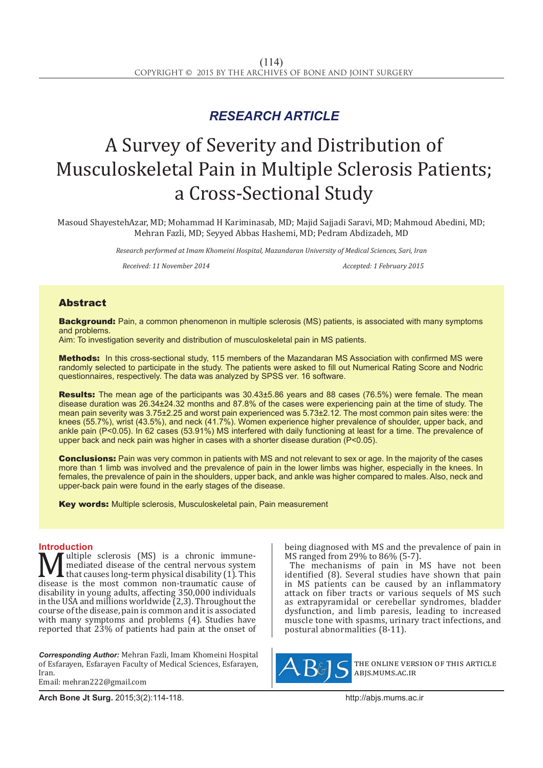## *RESEARCH ARTICLE*

# A Survey of Severity and Distribution of Musculoskeletal Pain in Multiple Sclerosis Patients; a Cross-Sectional Study

Masoud ShayestehAzar, MD; Mohammad H Kariminasab, MD; Majid Sajjadi Saravi, MD; Mahmoud Abedini, MD; Mehran Fazli, MD; Seyyed Abbas Hashemi, MD; Pedram Abdizadeh, MD

*Research performed at Imam Khomeini Hospital, Mazandaran University of Medical Sciences, Sari, Iran*

*Received: 11 November 2014 Accepted: 1 February 2015*

### Abstract

Background: Pain, a common phenomenon in multiple sclerosis (MS) patients, is associated with many symptoms and problems.

Aim: To investigation severity and distribution of musculoskeletal pain in MS patients.

Methods: In this cross-sectional study, 115 members of the Mazandaran MS Association with confirmed MS were randomly selected to participate in the study. The patients were asked to fill out Numerical Rating Score and Nodric questionnaires, respectively. The data was analyzed by SPSS ver. 16 software.

Results: The mean age of the participants was 30.43±5.86 years and 88 cases (76.5%) were female. The mean disease duration was 26.34±24.32 months and 87.8% of the cases were experiencing pain at the time of study. The mean pain severity was 3.75±2.25 and worst pain experienced was 5.73±2.12. The most common pain sites were: the knees (55.7%), wrist (43.5%), and neck (41.7%). Women experience higher prevalence of shoulder, upper back, and ankle pain (P<0.05). In 62 cases (53.91%) MS interfered with daily functioning at least for a time. The prevalence of upper back and neck pain was higher in cases with a shorter disease duration (P<0.05).

**Conclusions:** Pain was very common in patients with MS and not relevant to sex or age. In the majority of the cases more than 1 limb was involved and the prevalence of pain in the lower limbs was higher, especially in the knees. In females, the prevalence of pain in the shoulders, upper back, and ankle was higher compared to males. Also, neck and upper-back pain were found in the early stages of the disease.

Key words: Multiple sclerosis, Musculoskeletal pain, Pain measurement

**Introduction**<br>**N** *I* ultiple sclerosis (MS) is a chronic immune-**Multiple sclerosis (MS) is a chronic immune-**<br>that causes long-term physical disability (1). This<br>disease is the most common non-traumatic cause of<br>disability in young adults affecting 350,000 individuals mediated disease of the central nervous system I that causes long-term physical disability  $(1)$ . This disability in young adults, affecting 350,000 individuals in the USA and millions worldwide (2,3). Throughout the course of the disease, pain is common and it is associated with many symptoms and problems (4). Studies have reported that 23% of patients had pain at the onset of

*Corresponding Author:* Mehran Fazli, Imam Khomeini Hospital of Esfarayen, Esfarayen Faculty of Medical Sciences, Esfarayen, Iran. Email: mehran222@gmail.com

being diagnosed with MS and the prevalence of pain in MS ranged from 29% to 86% (5-7).

The mechanisms of pain in MS have not been identified (8). Several studies have shown that pain in MS patients can be caused by an inflammatory attack on fiber tracts or various sequels of MS such as extrapyramidal or cerebellar syndromes, bladder dysfunction, and limb paresis, leading to increased muscle tone with spasms, urinary tract infections, and postural abnormalities (8-11).



the online version of this article abjs.mums.ac.ir

**Arch Bone Jt Surg.** 2015;3(2):114-118.http://abjs.mums.ac.ir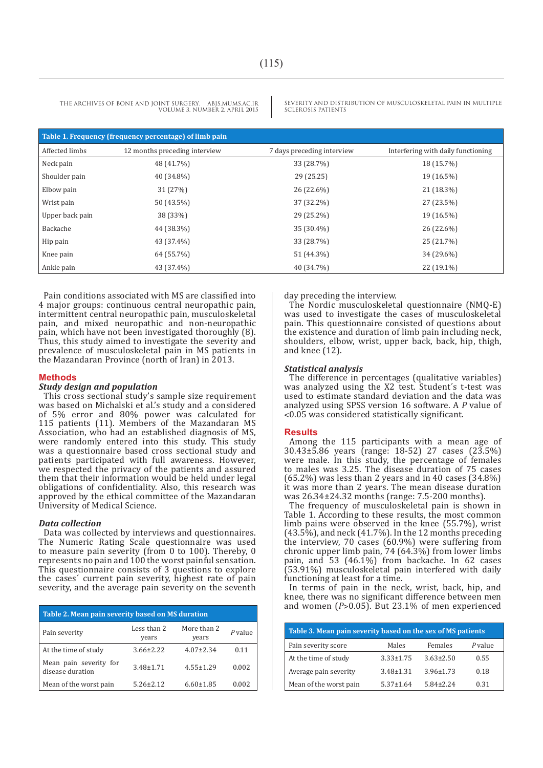SEVERITY AND DISTRIBUTION OF MUSCULOSKELETAL PAIN IN MULTIPLE SCLEROSIS PATIENTS

| Table 1. Frequency (frequency percentage) of limb pain |                               |                            |                                    |  |  |  |  |
|--------------------------------------------------------|-------------------------------|----------------------------|------------------------------------|--|--|--|--|
| Affected limbs                                         | 12 months preceding interview | 7 days preceding interview | Interfering with daily functioning |  |  |  |  |
| Neck pain                                              | 48 (41.7%)                    | 33 (28.7%)                 | 18 (15.7%)                         |  |  |  |  |
| Shoulder pain                                          | 40 (34.8%)                    | 29 (25.25)                 | 19 (16.5%)                         |  |  |  |  |
| Elbow pain                                             | 31 (27%)                      | 26 (22.6%)                 | 21 (18.3%)                         |  |  |  |  |
| Wrist pain                                             | 50 (43.5%)                    | 37 (32.2%)                 | 27 (23.5%)                         |  |  |  |  |
| Upper back pain                                        | 38 (33%)                      | 29 (25.2%)                 | 19 (16.5%)                         |  |  |  |  |
| Backache                                               | 44 (38.3%)                    | 35 (30.4%)                 | 26 (22.6%)                         |  |  |  |  |
| Hip pain                                               | 43 (37.4%)                    | 33 (28.7%)                 | 25 (21.7%)                         |  |  |  |  |
| Knee pain                                              | 64 (55.7%)                    | 51 (44.3%)                 | 34 (29.6%)                         |  |  |  |  |
| Ankle pain                                             | 43 (37.4%)                    | 40 (34.7%)                 | 22 (19.1%)                         |  |  |  |  |

Pain conditions associated with MS are classified into 4 major groups: continuous central neuropathic pain, intermittent central neuropathic pain, musculoskeletal pain, and mixed neuropathic and non-neuropathic pain, which have not been investigated thoroughly (8). Thus, this study aimed to investigate the severity and prevalence of musculoskeletal pain in MS patients in the Mazandaran Province (north of Iran) in 2013.

#### **Methods**

#### *Study design and population*

This cross sectional study's sample size requirement was based on Michalski et al.'s study and a considered of 5% error and 80% power was calculated for 115 patients (11). Members of the Mazandaran MS Association, who had an established diagnosis of MS, were randomly entered into this study. This study was a questionnaire based cross sectional study and patients participated with full awareness. However, we respected the privacy of the patients and assured them that their information would be held under legal obligations of confidentiality. Also, this research was approved by the ethical committee of the Mazandaran University of Medical Science.

#### *Data collection*

Data was collected by interviews and questionnaires. The Numeric Rating Scale questionnaire was used to measure pain severity (from 0 to 100). Thereby, 0 represents no pain and 100 the worst painful sensation. This questionnaire consists of 3 questions to explore the cases´ current pain severity, highest rate of pain severity, and the average pain severity on the seventh

| Table 2. Mean pain severity based on MS duration |                      |                      |           |  |  |  |
|--------------------------------------------------|----------------------|----------------------|-----------|--|--|--|
| Pain severity                                    | Less than 2<br>years | More than 2<br>years | $P$ value |  |  |  |
| At the time of study                             | $3.66 \pm 2.22$      | $4.07 \pm 2.34$      | 0.11      |  |  |  |
| Mean pain severity for<br>disease duration       | $3.48 \pm 1.71$      | $4.55 \pm 1.29$      | 0.002     |  |  |  |
| Mean of the worst pain                           | $5.26 \pm 2.12$      | $6.60 \pm 1.85$      | 0.002     |  |  |  |

day preceding the interview.

The Nordic musculoskeletal questionnaire (NMQ-E) was used to investigate the cases of musculoskeletal pain. This questionnaire consisted of questions about the existence and duration of limb pain including neck, shoulders, elbow, wrist, upper back, back, hip, thigh, and knee (12).

#### *Statistical analysis*

The difference in percentages (qualitative variables) was analyzed using the X2 test. Student´s t-test was used to estimate standard deviation and the data was analyzed using SPSS version 16 software. A *P* value of ˂0.05 was considered statistically significant.

#### **Results**

Among the 115 participants with a mean age of 30.43±5.86 years (range: 18-52) 27 cases (23.5%) were male. In this study, the percentage of females to males was 3.25. The disease duration of 75 cases (65.2%) was less than 2 years and in 40 cases (34.8%) it was more than 2 years. The mean disease duration was 26.34±24.32 months (range: 7.5-200 months).

The frequency of musculoskeletal pain is shown in Table 1. According to these results, the most common limb pains were observed in the knee (55.7%), wrist (43.5%), and neck (41.7%). In the 12 months preceding the interview, 70 cases (60.9%) were suffering from chronic upper limb pain, 74 (64.3%) from lower limbs pain, and 53 (46.1%) from backache. In 62 cases (53.91%) musculoskeletal pain interfered with daily functioning at least for a time.

In terms of pain in the neck, wrist, back, hip, and knee, there was no significant difference between men and women (*P*˃0.05). But 23.1% of men experienced

| Table 3. Mean pain severity based on the sex of MS patients |                 |                 |         |  |  |  |
|-------------------------------------------------------------|-----------------|-----------------|---------|--|--|--|
| Pain severity score                                         | Males           | Females         | P value |  |  |  |
| At the time of study                                        | $3.33 \pm 1.75$ | $3.63 \pm 2.50$ | 0.55    |  |  |  |
| Average pain severity                                       | $3.48 \pm 1.31$ | $3.96 \pm 1.73$ | 0.18    |  |  |  |
| Mean of the worst pain                                      | $5.37 \pm 1.64$ | $5.84 \pm 2.24$ | 0.31    |  |  |  |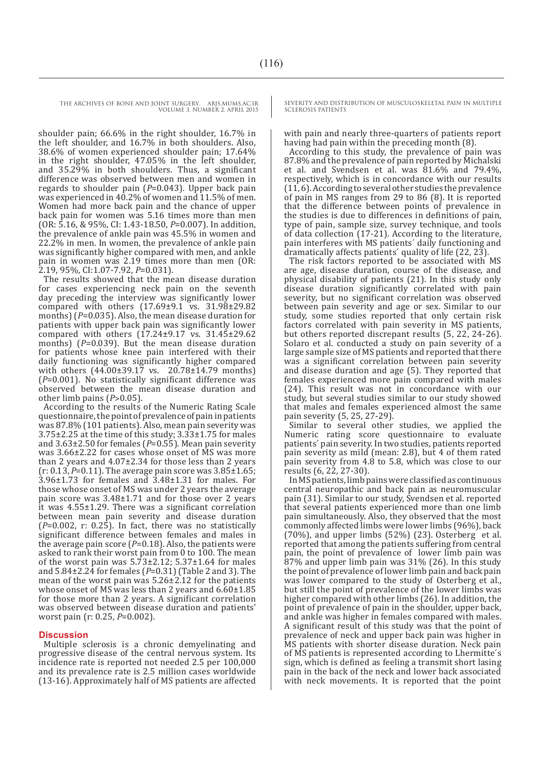shoulder pain; 66.6% in the right shoulder, 16.7% in the left shoulder, and 16.7% in both shoulders. Also, 38.6% of women experienced shoulder pain; 17.64% in the right shoulder, 47.05% in the left shoulder, and 35.29% in both shoulders. Thus, a significant difference was observed between men and women in regards to shoulder pain (*P*=0.043). Upper back pain was experienced in 40.2% of women and 11.5% of men. Women had more back pain and the chance of upper back pain for women was 5.16 times more than men (OR: 5.16, & 95%, CI: 1.43-18.50, *P*=0.007). In addition, the prevalence of ankle pain was 45.5% in women and 22.2% in men. In women, the prevalence of ankle pain was significantly higher compared with men, and ankle pain in women was 2.19 times more than men (OR: 2.19, 95%, CI:1.07-7.92, *P*=0.031).

The results showed that the mean disease duration for cases experiencing neck pain on the seventh day preceding the interview was significantly lower compared with others (17.69±9.1 vs. 31.98±29.82 months) (*P*=0.035). Also, the mean disease duration for patients with upper back pain was significantly lower compared with others (17.24±9.17 vs. 31.45±29.62 months) (P=0.039). But the mean disease duration for patients whose knee pain interfered with their daily functioning was significantly higher compared with others (44.00±39.17 vs. 20.78±14.79 months) (*P*=0.001). No statistically significant difference was observed between the mean disease duration and other limb pains (*P*˃0.05).

According to the results of the Numeric Rating Scale questionnaire, the point of prevalence of pain in patients was 87.8% (101 patients). Also, mean pain severity was 3.75±2.25 at the time of this study; 3.33±1.75 for males and 3.63±2.50 for females (*P*=0.55). Mean pain severity was 3.66±2.22 for cases whose onset of MS was more than 2 years and  $4.07\pm2.34$  for those less than 2 years (r: 0.13, *P*=0.11). The average pain score was 3.85±1.65;  $3.96\pm1.73$  for females and  $3.48\pm1.31$  for males. For those whose onset of MS was under 2 years the average pain score was 3.48±1.71 and for those over 2 years it was 4.55±1.29. There was a significant correlation between mean pain severity and disease duration (*P*=0.002, r: 0.25). In fact, there was no statistically significant difference between females and males in the average pain score (*P*=0.18). Also, the patients were asked to rank their worst pain from 0 to 100. The mean of the worst pain was  $5.\overline{7}3\pm2.12$ ;  $5.37\pm1.64$  for males and 5.84±2.24 for females (*P*=0.31) (Table 2 and 3). The mean of the worst pain was 5.26±2.12 for the patients whose onset of MS was less than 2 years and 6.60±1.85 for those more than 2 years. A significant correlation was observed between disease duration and patients' worst pain (r: 0.25, *P*=0.002).

#### **Discussion**

Multiple sclerosis is a chronic demyelinating and progressive disease of the central nervous system. Its incidence rate is reported not needed 2.5 per 100,000 and its prevalence rate is 2.5 million cases worldwide (13-16). Approximately half of MS patients are affected

SEVERITY AND DISTRIBUTION OF MUSCULOSKELETAL PAIN IN MULTIPLE SCLEROSIS PATIENTS

with pain and nearly three-quarters of patients report having had pain within the preceding month (8).

According to this study, the prevalence of pain was 87.8% and the prevalence of pain reported by Michalski et al. and Svendsen et al. was 81.6% and 79.4%, respectively, which is in concordance with our results (11, 6). According to several other studies the prevalence of pain in MS ranges from 29 to 86 (8). It is reported that the difference between points of prevalence in the studies is due to differences in definitions of pain, type of pain, sample size, survey technique, and tools of data collection (17-21). According to the literature, pain interferes with MS patients´ daily functioning and dramatically affects patients´ quality of life (22, 23).

The risk factors reported to be associated with MS are age, disease duration, course of the disease, and physical disability of patients (21). In this study only disease duration significantly correlated with pain severity, but no significant correlation was observed between pain severity and age or sex. Similar to our study, some studies reported that only certain risk factors correlated with pain severity in MS patients, but others reported discrepant results (5, 22, 24-26). Solaro et al. conducted a study on pain severity of a large sample size of MS patients and reported that there was a significant correlation between pain severity and disease duration and age (5). They reported that females experienced more pain compared with males (24). This result was not in concordance with our study, but several studies similar to our study showed that males and females experienced almost the same pain severity (5, 25, 27-29).

Similar to several other studies, we applied the Numeric rating score questionnaire to evaluate patients´ pain severity. In two studies, patients reported pain severity as mild (mean: 2.8), but 4 of them rated pain severity from 4.8 to 5.8, which was close to our results (6, 22, 27-30).

In MS patients, limb pains were classified as continuous central neuropathic and back pain as neuromuscular pain (31). Similar to our study, Svendsen et al. reported that several patients experienced more than one limb pain simultaneously. Also, they observed that the most commonly affected limbs were lower limbs (96%), back  $(70%)$ , and upper limbs  $(52%)$   $(23)$ . Osterberg et al. reported that among the patients suffering from central pain, the point of prevalence of lower limb pain was 87% and upper limb pain was 31% (26). In this study the point of prevalence of lower limb pain and back pain was lower compared to the study of Osterberg et al., but still the point of prevalence of the lower limbs was higher compared with other limbs (26). In addition, the point of prevalence of pain in the shoulder, upper back, and ankle was higher in females compared with males. A significant result of this study was that the point of prevalence of neck and upper back pain was higher in MS patients with shorter disease duration. Neck pain of MS patients is represented according to Lhermitte´s sign, which is defined as feeling a transmit short lasing pain in the back of the neck and lower back associated with neck movements. It is reported that the point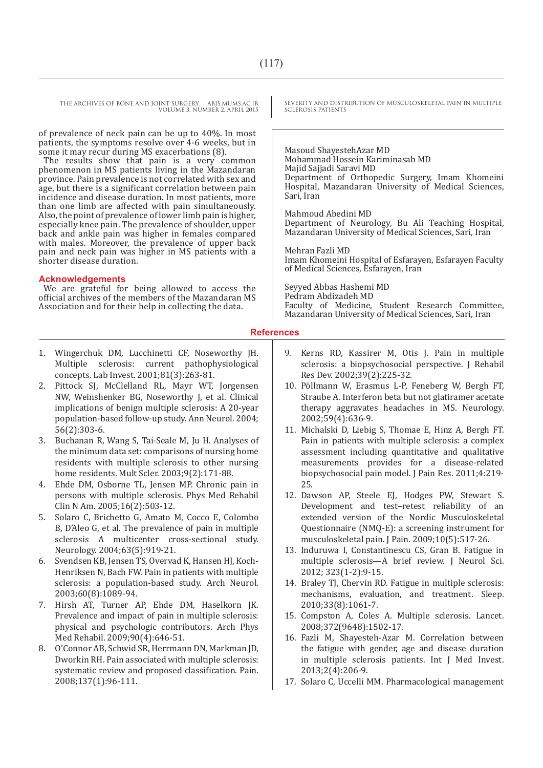of prevalence of neck pain can be up to 40%. In most patients, the symptoms resolve over 4-6 weeks, but in some it may recur during MS exacerbations (8).

The results show that pain is a very common phenomenon in MS patients living in the Mazandaran province. Pain prevalence is not correlated with sex and age, but there is a significant correlation between pain incidence and disease duration. In most patients, more than one limb are affected with pain simultaneously. Also, the point of prevalence of lower limb pain is higher, especially knee pain. The prevalence of shoulder, upper back and ankle pain was higher in females compared with males. Moreover, the prevalence of upper back pain and neck pain was higher in MS patients with a shorter disease duration.

#### **Acknowledgements**

We are grateful for being allowed to access the official archives of the members of the Mazandaran MS Association and for their help in collecting the data.

- 1. Wingerchuk DM, Lucchinetti CF, Noseworthy JH. Multiple sclerosis: current pathophysiological concepts. Lab Invest. 2001;81(3):263-81.
- 2. Pittock SJ, McClelland RL, Mayr WT, Jorgensen NW, Weinshenker BG, Noseworthy J, et al. Clinical implications of benign multiple sclerosis: A 20-year population-based follow-up study. Ann Neurol. 2004; 56(2):303-6.
- 3. Buchanan R, Wang S, Tai-Seale M, Ju H. Analyses of the minimum data set: comparisons of nursing home residents with multiple sclerosis to other nursing home residents. Mult Scler. 2003;9(2):171-88.
- 4. Ehde DM, Osborne TL, Jensen MP. Chronic pain in persons with multiple sclerosis. Phys Med Rehabil Clin N Am. 2005;16(2):503-12.
- 5. Solaro C, Brichetto G, Amato M, Cocco E, Colombo B, D'Aleo G, et al. The prevalence of pain in multiple sclerosis A multicenter cross-sectional study. Neurology. 2004;63(5):919-21.
- 6. Svendsen KB, Jensen TS, Overvad K, Hansen HJ, Koch-Henriksen N, Bach FW. Pain in patients with multiple sclerosis: a population-based study. Arch Neurol. 2003;60(8):1089-94.
- 7. Hirsh AT, Turner AP, Ehde DM, Haselkorn JK. Prevalence and impact of pain in multiple sclerosis: physical and psychologic contributors. Arch Phys Med Rehabil. 2009;90(4):646-51.
- 8. O'Connor AB, Schwid SR, Herrmann DN, Markman JD, Dworkin RH. Pain associated with multiple sclerosis: systematic review and proposed classification. Pain. 2008;137(1):96-111.

SEVERITY AND DISTRIBUTION OF MUSCULOSKELETAL PAIN IN MULTIPLE SCLEROSIS PATIENTS

Masoud ShayestehAzar MD Mohammad Hossein Kariminasab MD Majid Sajjadi Saravi MD Department of Orthopedic Surgery, Imam Khomeini Hospital, Mazandaran University of Medical Sciences, Sari, Iran

Mahmoud Abedini MD Department of Neurology, Bu Ali Teaching Hospital, Mazandaran University of Medical Sciences, Sari, Iran

Mehran Fazli MD Imam Khomeini Hospital of Esfarayen, Esfarayen Faculty of Medical Sciences, Esfarayen, Iran

Seyyed Abbas Hashemi MD Pedram Abdizadeh MD Faculty of Medicine, Student Research Committee, Mazandaran University of Medical Sciences, Sari, Iran

#### **References**

- 9. Kerns RD, Kassirer M, Otis J. Pain in multiple sclerosis: a biopsychosocial perspective. J Rehabil Res Dev. 2002;39(2):225-32.
- 10. Pöllmann W, Erasmus L-P, Feneberg W, Bergh FT, Straube A. Interferon beta but not glatiramer acetate therapy aggravates headaches in MS. Neurology. 2002;59(4):636-9.
- 11. Michalski D, Liebig S, Thomae E, Hinz A, Bergh FT. Pain in patients with multiple sclerosis: a complex assessment including quantitative and qualitative measurements provides for a disease-related biopsychosocial pain model. J Pain Res. 2011;4:219- 25.
- 12. Dawson AP, Steele EJ, Hodges PW, Stewart S. Development and test–retest reliability of an extended version of the Nordic Musculoskeletal Questionnaire (NMQ-E): a screening instrument for musculoskeletal pain. J Pain. 2009;10(5):517-26.
- 13. Induruwa I, Constantinescu CS, Gran B. Fatigue in multiple sclerosis—A brief review. J Neurol Sci. 2012; 323(1-2):9-15.
- 14. Braley TJ, Chervin RD. Fatigue in multiple sclerosis: mechanisms, evaluation, and treatment. Sleep. 2010;33(8):1061-7.
- 15. Compston A, Coles A. Multiple sclerosis. Lancet. 2008;372(9648):1502-17.
- 16. Fazli M, Shayesteh-Azar M. Correlation between the fatigue with gender, age and disease duration in multiple sclerosis patients. Int J Med Invest. 2013;2(4):206-9.
- 17. Solaro C, Uccelli MM. Pharmacological management